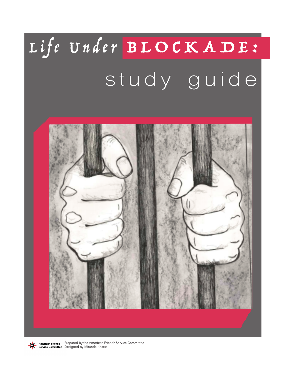# Life Under BLOCKADE: study guide



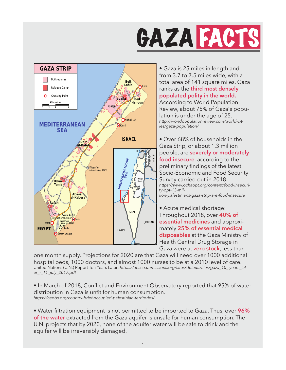



• Gaza is 25 miles in length and from 3.7 to 7.5 miles wide, with a total area of 141 square miles. Gaza ranks as the **third most densely populated polity in the world.** According to World Population Review, about 75% of Gaza's population is under the age of 25. *http://worldpopulationreview.com/world-cities/gaza-population/*

• Over 68% of households in the Gaza Strip, or about 1.3 million people, are **severely or moderately food insecure**, according to the preliminary findings of the latest Socio-Economic and Food Security Survey carried out in 2018. *https://www.ochaopt.org/content/food-insecurity-opt-13-million-palestinians-gaza-strip-are-food-insecure*

• Acute medical shortage: Throughout 2018, over **40% of essential medicines** and approximately **25% of essential medical disposables** at the Gaza Ministry of Health Central Drug Storage in Gaza were at **zero stock**, less than

one month supply. Projections for 2020 are that Gaza will need over 1000 additional hospital beds, 1000 doctors, and almost 1000 nurses to be at a 2010 level of care. United Nations (U.N.) Report Ten Years Later: *https://unsco.unmissions.org/sites/default/files/gaza\_10\_ years\_later\_-\_11\_july\_2017.pdf*

• In March of 2018, Conflict and Environment Observatory reported that 95% of water distribution in Gaza is unfit for human consumption. *https://ceobs.org/country-brief-occupied-palestinian-territories/*

• Water filtration equipment is not permitted to be imported to Gaza. Thus, over **96% of the water** extracted from the Gaza aquifer is unsafe for human consumption. The U.N. projects that by 2020, none of the aquifer water will be safe to drink and the aquifer will be irreversibly damaged.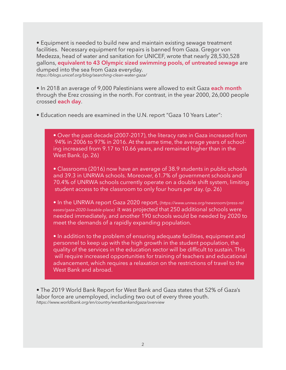• Equipment is needed to build new and maintain existing sewage treatment facilities. Necessary equipment for repairs is banned from Gaza. Gregor von Medezza, head of water and sanitation for UNICEF, wrote that nearly 28,530,528 gallons, **equivalent to 43 Olympic sized swimming pools, of untreated sewage** are dumped into the sea from Gaza everyday. *https://blogs.unicef.org/blog/searching-clean-water-gaza/*

• In 2018 an average of 9,000 Palestinians were allowed to exit Gaza **each month** through the Erez crossing in the north. For contrast, in the year 2000, 26,000 people crossed **each day**.

• Education needs are examined in the U.N. report "Gaza 10 Years Later":

• Over the past decade (2007-2017), the literacy rate in Gaza increased from 94% in 2006 to 97% in 2016. At the same time, the average years of school ing increased from 9.17 to 10.66 years, and remained higher than in the West Bank. (p. 26)

 • Classrooms (2016) now have an average of 38.9 students in public schools and 39.3 in UNRWA schools. Moreover, 61.7% of government schools and 70.4% of UNRWA schools currently operate on a double shift system, limiting student access to the classroom to only four hours per day. (p. 26)

 • In the UNRWA report Gaza 2020 report, (*https://www.unrwa.org/newsroom/press-rel eases/gaza-2020-liveable-place)* it was projected that 250 additional schools were needed immediately, and another 190 schools would be needed by 2020 to meet the demands of a rapidly expanding population.

 • In addition to the problem of ensuring adequate facilities, equipment and personnel to keep up with the high growth in the student population, the quality of the services in the education sector will be difficult to sustain. This will require increased opportunities for training of teachers and educational advancement, which requires a relaxation on the restrictions of travel to the West Bank and abroad.

• The 2019 World Bank Report for West Bank and Gaza states that 52% of Gaza's labor force are unemployed, including two out of every three youth. *https://www.worldbank.org/en/country/westbankandgaza/overview*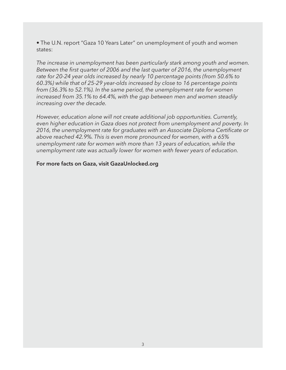• The U.N. report "Gaza 10 Years Later" on unemployment of youth and women states:

*The increase in unemployment has been particularly stark among youth and women. Between the first quarter of 2006 and the last quarter of 2016, the unemployment rate for 20-24 year olds increased by nearly 10 percentage points (from 50.6% to 60.3%) while that of 25-29 year-olds increased by close to 16 percentage points from (36.3% to 52.1%). In the same period, the unemployment rate for women increased from 35.1% to 64.4%, with the gap between men and women steadily increasing over the decade.* 

*However, education alone will not create additional job opportunities. Currently, even higher education in Gaza does not protect from unemployment and poverty. In 2016, the unemployment rate for graduates with an Associate Diploma Certificate or above reached 42.9%. This is even more pronounced for women, with a 65% unemployment rate for women with more than 13 years of education, while the unemployment rate was actually lower for women with fewer years of education.*

#### **For more facts on Gaza, visit GazaUnlocked.org**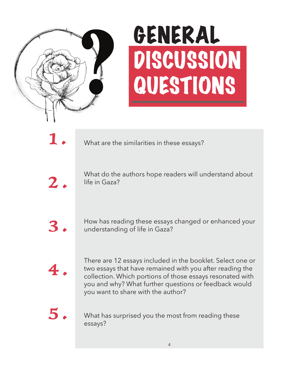

## GENERAL DISCUSSION QUESTIONS

1 .

What are the similarities in these essays?

2 .

What do the authors hope readers will understand about life in Gaza?

3 .

How has reading these essays changed or enhanced your understanding of life in Gaza?

4 .

There are 12 essays included in the booklet. Select one or two essays that have remained with you after reading the collection. Which portions of those essays resonated with you and why? What further questions or feedback would you want to share with the author?

 $5.$ 

What has surprised you the most from reading these essays?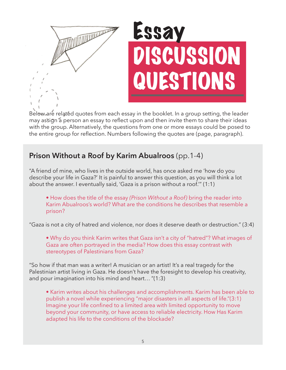

## Essay SCUSSION QUESTIONS

Below are related quotes from each essay in the booklet. In a group setting, the leader may assign a person an essay to reflect upon and then invite them to share their ideas with the group. Alternatively, the questions from one or more essays could be posed to the entire group for reflection. Numbers following the quotes are (page, paragraph).

### **Prison Without a Roof by Karim Abualroos** (pp.1-4)

"A friend of mine, who lives in the outside world, has once asked me 'how do you describe your life in Gaza?' It is painful to answer this question, as you will think a lot about the answer. I eventually said, 'Gaza is a prison without a roof.'" (1:1)

 • How does the title of the essay *(Prison Without a Roof)* bring the reader into Karim Abualroos's world? What are the conditions he describes that resemble a prison?

"Gaza is not a city of hatred and violence, nor does it deserve death or destruction." (3:4)

• Why do you think Karim writes that Gaza isn't a city of "hatred"? What images of Gaza are often portrayed in the media? How does this essay contrast with stereotypes of Palestinians from Gaza?

"So how if that man was a writer! A musician or an artist! It's a real tragedy for the Palestinian artist living in Gaza. He doesn't have the foresight to develop his creativity, and pour imagination into his mind and heart… "(1:3)

• Karim writes about his challenges and accomplishments. Karim has been able to publish a novel while experiencing "major disasters in all aspects of life."(3:1) Imagine your life confined to a limited area with limited opportunity to move beyond your community, or have access to reliable electricity. How Has Karim adapted his life to the conditions of the blockade?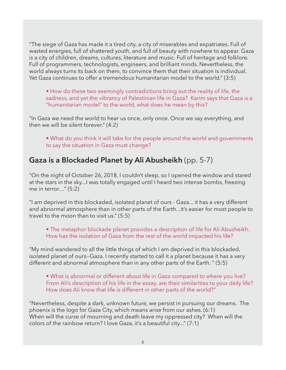"The siege of Gaza has made it a tired city, a city of miserables and expatriates. Full of wasted energies, full of shattered youth, and full of beauty with nowhere to appear. Gaza is a city of children, dreams, cultures, literature and music. Full of heritage and folklore. Full of programmers, technologists, engineers, and brilliant minds. Nevertheless, the world always turns its back on them, to convince them that their situation is individual. Yet Gaza continues to offer a tremendous humanitarian model to the world." (3:5)

• How do these two seemingly contradictions bring out the reality of life, the sadness, and yet the vibrancy of Palestinian life in Gaza? Karim says that Gaza is a "humanitarian model" to the world, what does he mean by this?

"In Gaza we need the world to hear us once, only once. Once we say everything, and then we will be silent forever." (4:2)

 • What do you think it will take for the people around the world and governments to say the situation in Gaza must change?

#### **Gaza is a Blockaded Planet by Ali Abusheikh** (pp. 5-7)

"On the night of October 26, 2018, I couldn't sleep, so I opened the window and stared at the stars in the sky...I was totally engaged until I heard two intense bombs, freezing me in terror…" (5:2)

"I am deprived in this blockaded, isolated planet of ours - Gaza... it has a very different and abnormal atmosphere than in other parts of the Earth...it's easier for most people to travel to the moon than to visit us." (5:5)

 • The metaphor blockade planet provides a description of life for Ali Abusheikh. How has the isolation of Gaza from the rest of the world impacted his life?

"My mind wandered to all the little things of which I am deprived in this blockaded, isolated planet of ours--Gaza. I recently started to call it a planet because it has a very different and abnormal atmosphere than in any other parts of the Earth. " (5:5)

 • What is abnormal or different about life in Gaza compared to where you live? From Ali's description of his life in the essay, are their similarities to your daily life? How does Ali know that life is different in other parts of the world?"

"Nevertheless, despite a dark, unknown future, we persist in pursuing our dreams. The phoenix is the logo for Gaza City, which means arise from our ashes. (6:1) When will the curse of mourning and death leave my oppressed city? When will the colors of the rainbow return? I love Gaza, it's a beautiful city..." (7:1)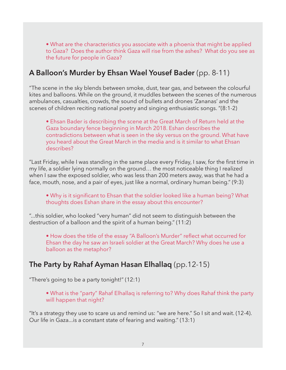• What are the characteristics you associate with a phoenix that might be applied to Gaza? Does the author think Gaza will rise from the ashes? What do you see as the future for people in Gaza?

#### **A Balloon's Murder by Ehsan Wael Yousef Bader** (pp. 8-11)

"The scene in the sky blends between smoke, dust, tear gas, and between the colourful kites and balloons. While on the ground, it muddles between the scenes of the numerous ambulances, casualties, crowds, the sound of bullets and drones 'Zananas' and the scenes of children reciting national poetry and singing enthusiastic songs. "(8:1-2)

• Ehsan Bader is describing the scene at the Great March of Return held at the Gaza boundary fence beginning in March 2018. Eshan describes the contradictions between what is seen in the sky versus on the ground. What have you heard about the Great March in the media and is it similar to what Ehsan describes?

"Last Friday, while I was standing in the same place every Friday, I saw, for the first time in my life, a soldier lying normally on the ground… the most noticeable thing I realized when I saw the exposed soldier, who was less than 200 meters away, was that he had a face, mouth, nose, and a pair of eyes, just like a normal, ordinary human being." (9:3)

 • Why is it significant to Ehsan that the soldier looked like a human being? What thoughts does Eshan share in the essay about this encounter?

"...this soldier, who looked "very human" did not seem to distinguish between the destruction of a balloon and the spirit of a human being." (11:2)

• How does the title of the essay "A Balloon's Murder" reflect what occurred for Ehsan the day he saw an Israeli soldier at the Great March? Why does he use a balloon as the metaphor?

#### **The Party by Rahaf Ayman Hasan Elhallaq** (pp.12-15)

"There's going to be a party tonight!" (12:1)

 • What is the "party" Rahaf Elhallaq is referring to? Why does Rahaf think the party will happen that night?

"It's a strategy they use to scare us and remind us: "we are here." So I sit and wait. (12-4). Our life in Gaza...is a constant state of fearing and waiting." (13:1)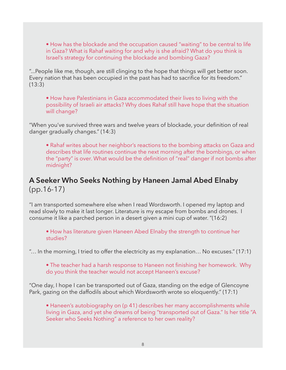• How has the blockade and the occupation caused "waiting" to be central to life in Gaza? What is Rahaf waiting for and why is she afraid? What do you think is Israel's strategy for continuing the blockade and bombing Gaza?

"...People like me, though, are still clinging to the hope that things will get better soon. Every nation that has been occupied in the past has had to sacrifice for its freedom." (13:3)

 • How have Palestinians in Gaza accommodated their lives to living with the possibility of Israeli air attacks? Why does Rahaf still have hope that the situation will change?

"When you've survived three wars and twelve years of blockade, your definition of real danger gradually changes." (14:3)

• Rahaf writes about her neighbor's reactions to the bombing attacks on Gaza and describes that life routines continue the next morning after the bombings, or when the "party" is over. What would be the definition of "real" danger if not bombs after midnight?

#### **A Seeker Who Seeks Nothing by Haneen Jamal Abed Elnaby**  (pp.16-17)

"I am transported somewhere else when I read Wordsworth. I opened my laptop and read slowly to make it last longer. Literature is my escape from bombs and drones. I consume it like a parched person in a desert given a mini cup of water. "(16:2)

• How has literature given Haneen Abed Elnaby the strength to continue her studies?

"… In the morning, I tried to offer the electricity as my explanation… No excuses." (17:1)

• The teacher had a harsh response to Haneen not finishing her homework. Why do you think the teacher would not accept Haneen's excuse?

"One day, I hope I can be transported out of Gaza, standing on the edge of Glencoyne Park, gazing on the daffodils about which Wordsworth wrote so eloquently." (17:1)

• Haneen's autobiography on (p 41) describes her many accomplishments while living in Gaza, and yet she dreams of being "transported out of Gaza." Is her title "A Seeker who Seeks Nothing" a reference to her own reality?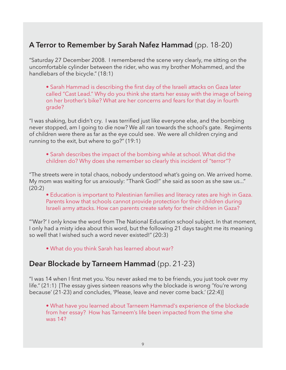### **A Terror to Remember by Sarah Nafez Hammad** (pp. 18-20)

"Saturday 27 December 2008. I remembered the scene very clearly, me sitting on the uncomfortable cylinder between the rider, who was my brother Mohammed, and the handlebars of the bicycle." (18:1)

• Sarah Hammad is describing the first day of the Israeli attacks on Gaza later called "Cast Lead." Why do you think she starts her essay with the image of being on her brother's bike? What are her concerns and fears for that day in fourth grade?

"I was shaking, but didn't cry. I was terrified just like everyone else, and the bombing never stopped, am I going to die now? We all ran towards the school's gate. Regiments of children were there as far as the eye could see. We were all children crying and running to the exit, but where to go?" (19:1)

• Sarah describes the impact of the bombing while at school. What did the children do? Why does she remember so clearly this incident of "terror"?

"The streets were in total chaos, nobody understood what's going on. We arrived home. My mom was waiting for us anxiously: "Thank God!" she said as soon as she saw us..." (20:2)

 • Education is important to Palestinian families and literacy rates are high in Gaza. Parents know that schools cannot provide protection for their children during Israeli army attacks. How can parents create safety for their children in Gaza?

"'War?' I only know the word from The National Education school subject. In that moment, I only had a misty idea about this word, but the following 21 days taught me its meaning so well that I wished such a word never existed!" (20:3)

• What do you think Sarah has learned about war?

#### **Dear Blockade by Tarneem Hammad** (pp. 21-23)

"I was 14 when I first met you. You never asked me to be friends, you just took over my life." (21:1) [The essay gives sixteen reasons why the blockade is wrong 'You're wrong because' (21-23) and concludes, 'Please, leave and never come back.' (22:4)]

• What have you learned about Tarneem Hammad's experience of the blockade from her essay? How has Tarneem's life been impacted from the time she was 14?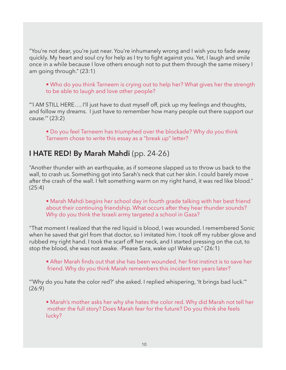"You're not dear, you're just near. You're inhumanely wrong and I wish you to fade away quickly. My heart and soul cry for help as I try to fight against you. Yet, I laugh and smile once in a while because I love others enough not to put them through the same misery I am going through." (23:1)

• Who do you think Tarneem is crying out to help her? What gives her the strength to be able to laugh and love other people?

"'I AM STILL HERE…. I'll just have to dust myself off, pick up my feelings and thoughts, and follow my dreams. I just have to remember how many people out there support our cause.'" (23:2)

• Do you feel Tarneem has triumphed over the blockade? Why do you think Tarneem chose to write this essay as a "break up" letter?

### **I HATE RED! By Marah Mahdi** (pp. 24-26)

"Another thunder with an earthquake, as if someone slapped us to throw us back to the wall, to crash us. Something got into Sarah's neck that cut her skin. I could barely move after the crash of the wall. I felt something warm on my right hand, it was red like blood." (25:4)

 • Marah Mahdi begins her school day in fourth grade talking with her best friend about their continuing friendship. What occurs after they hear thunder sounds? Why do you think the Israeli army targeted a school in Gaza?

"That moment I realized that the red liquid is blood, I was wounded. I remembered Sonic when he saved that girl from that doctor, so I imitated him. I took off my rubber glove and rubbed my right hand. I took the scarf off her neck, and I started pressing on the cut, to stop the blood, she was not awake. -Please Sara, wake up! Wake up." (26:1)

• After Marah finds out that she has been wounded, her first instinct is to save her friend. Why do you think Marah remembers this incident ten years later?

"'Why do you hate the color red?' she asked. I replied whispering, 'It brings bad luck.'" (26:9)

• Marah's mother asks her why she hates the color red. Why did Marah not tell her mother the full story? Does Marah fear for the future? Do you think she feels lucky?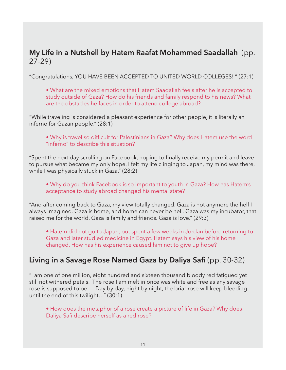#### **My Life in a Nutshell by Hatem Raafat Mohammed Saadallah** (pp. 27-29)

"Congratulations, YOU HAVE BEEN ACCEPTED TO UNITED WORLD COLLEGES! " (27:1)

• What are the mixed emotions that Hatem Saadallah feels after he is accepted to study outside of Gaza? How do his friends and family respond to his news? What are the obstacles he faces in order to attend college abroad?

"While traveling is considered a pleasant experience for other people, it is literally an inferno for Gazan people." (28:1)

• Why is travel so difficult for Palestinians in Gaza? Why does Hatem use the word "inferno" to describe this situation?

"Spent the next day scrolling on Facebook, hoping to finally receive my permit and leave to pursue what became my only hope. I felt my life clinging to Japan, my mind was there, while I was physically stuck in Gaza." (28:2)

• Why do you think Facebook is so important to youth in Gaza? How has Hatem's acceptance to study abroad changed his mental state?

"And after coming back to Gaza, my view totally changed. Gaza is not anymore the hell I always imagined. Gaza is home, and home can never be hell. Gaza was my incubator, that raised me for the world. Gaza is family and friends. Gaza is love." (29:3)

• Hatem did not go to Japan, but spent a few weeks in Jordan before returning to Gaza and later studied medicine in Egypt. Hatem says his view of his home changed. How has his experience caused him not to give up hope?

#### **Living in a Savage Rose Named Gaza by Daliya Safi** (pp. 30-32)

"I am one of one million, eight hundred and sixteen thousand bloody red fatigued yet still not withered petals. The rose I am melt in once was white and free as any savage rose is supposed to be… Day by day, night by night, the briar rose will keep bleeding until the end of this twilight…" (30:1)

• How does the metaphor of a rose create a picture of life in Gaza? Why does Daliya Safi describe herself as a red rose?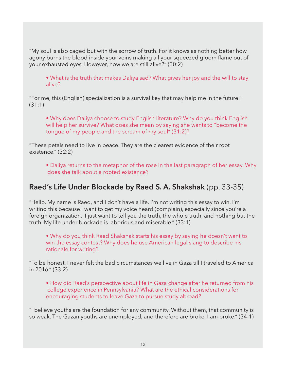"My soul is also caged but with the sorrow of truth. For it knows as nothing better how agony burns the blood inside your veins making all your squeezed gloom flame out of your exhausted eyes. However, how we are still alive?" (30:2)

• What is the truth that makes Daliya sad? What gives her joy and the will to stay alive?

"For me, this (English) specialization is a survival key that may help me in the future." (31:1)

• Why does Daliya choose to study English literature? Why do you think English will help her survive? What does she mean by saying she wants to "become the tongue of my people and the scream of my soul" (31:2)?

"These petals need to live in peace. They are the clearest evidence of their root existence." (32:2)

• Daliya returns to the metaphor of the rose in the last paragraph of her essay. Why does she talk about a rooted existence?

#### **Raed's Life Under Blockade by Raed S. A. Shakshak** (pp. 33-35)

"Hello. My name is Raed, and I don't have a life. I'm not writing this essay to win. I'm writing this because I want to get my voice heard (complain), especially since you're a foreign organization. I just want to tell you the truth, the whole truth, and nothing but the truth. My life under blockade is laborious and miserable." (33:1)

• Why do you think Raed Shakshak starts his essay by saying he doesn't want to win the essay contest? Why does he use American legal slang to describe his rationale for writing?

"To be honest, I never felt the bad circumstances we live in Gaza till I traveled to America in 2016." (33:2)

• How did Raed's perspective about life in Gaza change after he returned from his college experience in Pennsylvania? What are the ethical considerations for encouraging students to leave Gaza to pursue study abroad?

"I believe youths are the foundation for any community. Without them, that community is so weak. The Gazan youths are unemployed, and therefore are broke. I am broke." (34-1)